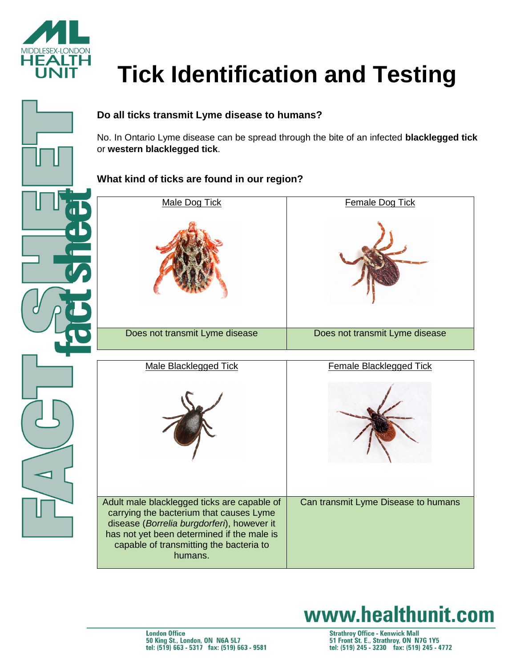

# **Tick Identification and Testing**



No. In Ontario Lyme disease can be spread through the bite of an infected **blacklegged tick**  or **western blacklegged tick**.

## **What kind of ticks are found in our region?**

| Male Dog Tick                                                                                                                                                                                                                            | Female Dog Tick                     |
|------------------------------------------------------------------------------------------------------------------------------------------------------------------------------------------------------------------------------------------|-------------------------------------|
|                                                                                                                                                                                                                                          |                                     |
| Does not transmit Lyme disease                                                                                                                                                                                                           | Does not transmit Lyme disease      |
| <b>Male Blacklegged Tick</b>                                                                                                                                                                                                             | <b>Female Blacklegged Tick</b>      |
|                                                                                                                                                                                                                                          |                                     |
| Adult male blacklegged ticks are capable of<br>carrying the bacterium that causes Lyme<br>disease (Borrelia burgdorferi), however it<br>has not yet been determined if the male is<br>capable of transmitting the bacteria to<br>humans. | Can transmit Lyme Disease to humans |

# www.healthunit.com